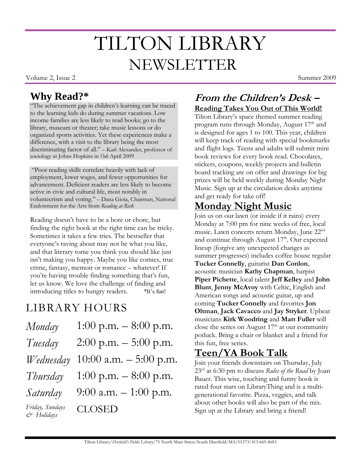# TILTON LIBRARY **NEWSLETTER**

Volume 2, Issue 2 Summer 2009

#### **Why Read?\***

"The achievement gap in children's learning can be traced to the learning kids do during summer vacations. Low income families are less likely to read books; go to the library, museum or theater; take music lessons or do organized sports activities. Yet these experiences make a difference, with a visit to the library being the most discriminating factor of all." – Karl Alexander, professor of sociology at Johns Hopkins in *Ode* April 2009

"Poor reading skills correlate heavily with lack of employment, lower wages, and fewer opportunities for advancement. Deficient readers are less likely to become active in civic and cultural life, most notably in volunteerism and voting." – Dana Gioia, Chairman, National Endowment for the Arts from *Reading at Risk*

Reading doesn't have to be a bore or chore, but finding the right book at the right time can be tricky. Sometimes it takes a few tries. The bestseller that everyone's raving about may not be what you like, and that literary tome you think you should like just isn't making you happy. Maybe you like comics, true crime, fantasy, memoir or romance – whatever! If you're having trouble finding something that's fun, let us know. We love the challenge of finding and introducing titles to hungry readers. \*It's fun!

## LIBRARY HOURS

| Monday                        | 1:00 p.m. $-8:00$ p.m.   |
|-------------------------------|--------------------------|
| Tuesday                       | $2:00$ p.m. $-5:00$ p.m. |
| Wednesday                     | 10:00 a.m. $-$ 5:00 p.m. |
| Thursday                      | 1:00 p.m. $-8:00$ p.m.   |
| Saturday                      | 9:00 a.m. $-1:00$ p.m.   |
| Friday, Sundays<br>& Holidays | <b>CLOSED</b>            |

#### **From the Children's Desk – Reading Takes You Out of This World!**

Tilton Library's space themed summer reading program runs through Monday, August  $17<sup>th</sup>$  and is designed for ages 1 to 100. This year, children will keep track of reading with special bookmarks and flight logs. Teens and adults will submit mini book reviews for every book read. Chocolates, stickers, coupons, weekly projects and bulletin board tracking are on offer and drawings for big prizes will be held weekly during Monday Night Music. Sign up at the circulation desks anytime and get ready for take off!

### **Monday Night Music**

Join us on our lawn (or inside if it rains) every Monday at 7:00 pm for nine weeks of free, local music. Lawn concerts return Monday, June 22nd and continue through August 17<sup>th</sup>. Our expected lineup (forgive any unexpected changes as summer progresses) includes coffee house regular **Tucker Connelly**, guitarist **Dan Conlon**, acoustic musician **Kathy Chapman**, harpist **Piper Pichette**, local talent **Jeff Kelley** and **John Blunt**, **Jenny McAvoy** with Celtic, English and American songs and acoustic guitar, up and coming **Tucker Connelly** and favorites **Jon Oltman**, **Jack Cavacco** and **Jay Stryker**. Upbeat musicians **Kirk Woodring** and **Matt Fuller** will close the series on August  $17<sup>th</sup>$  at our community potluck. Bring a chair or blanket and a friend for this fun, free series.

#### **Teen/YA Book Talk**

Join your friends downstairs on Thursday, July 23rd at 6:30 pm to discuss *Rules of the Road* by Joan Bauer. This wise, touching and funny book is rated four stars on LibraryThing and is a multigenerational favorite. Pizza, veggies, and talk about other books will also be part of the mix. Sign up at the Library and bring a friend!